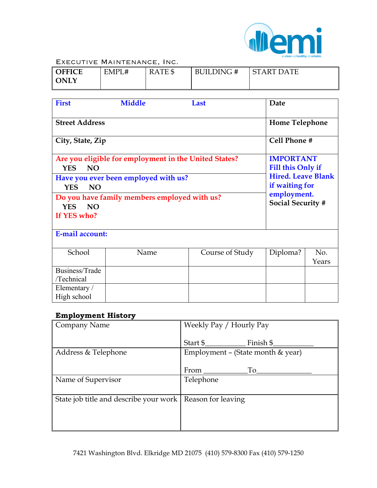

Executive Maintenance, Inc.

| <b>OFFICE</b> | EMPL# | RATE \$ | <b>BUILDING#</b> | <b>START DATE</b> |
|---------------|-------|---------|------------------|-------------------|
| <b>ONLY</b>   |       |         |                  |                   |

| <b>First</b>                                          | <b>Middle</b> | Last            | Date                      |       |
|-------------------------------------------------------|---------------|-----------------|---------------------------|-------|
| <b>Street Address</b>                                 |               |                 | <b>Home Telephone</b>     |       |
| City, State, Zip                                      |               |                 | Cell Phone #              |       |
| Are you eligible for employment in the United States? |               |                 | <b>IMPORTANT</b>          |       |
| <b>YES</b><br><b>NO</b>                               |               |                 | <b>Fill this Only if</b>  |       |
| Have you ever been employed with us?                  |               |                 | <b>Hired. Leave Blank</b> |       |
| <b>YES</b><br><b>NO</b>                               |               |                 | if waiting for            |       |
| Do you have family members employed with us?          |               |                 | employment.               |       |
| YES NO                                                |               |                 | <b>Social Security #</b>  |       |
| If YES who?                                           |               |                 |                           |       |
| <b>E-mail account:</b>                                |               |                 |                           |       |
| School                                                | Name          | Course of Study | Diploma?                  | No.   |
|                                                       |               |                 |                           | Years |
| Business/Trade                                        |               |                 |                           |       |
| /Technical                                            |               |                 |                           |       |
| Elementary /                                          |               |                 |                           |       |
| High school                                           |               |                 |                           |       |

## **Employment History**

| Company Name                           | Weekly Pay / Hourly Pay              |  |
|----------------------------------------|--------------------------------------|--|
|                                        |                                      |  |
| Address & Telephone                    | Employment – (State month $\&$ year) |  |
|                                        | $From \_\_$<br>$\Gamma$ o            |  |
| Name of Supervisor                     | Telephone                            |  |
|                                        |                                      |  |
| State job title and describe your work | Reason for leaving                   |  |
|                                        |                                      |  |
|                                        |                                      |  |
|                                        |                                      |  |